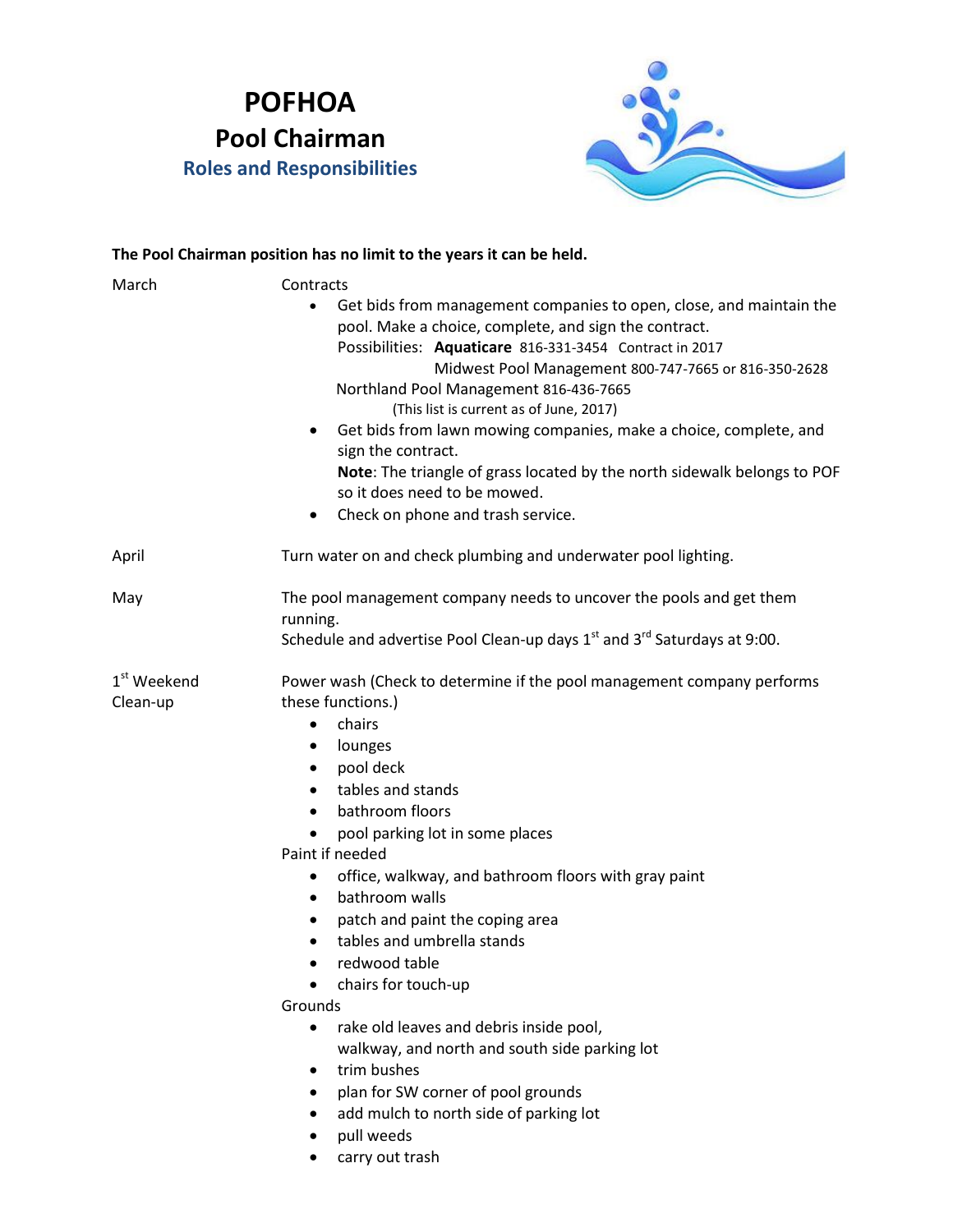## **POFHOA Pool Chairman Roles and Responsibilities**



## **The Pool Chairman position has no limit to the years it can be held.**

| March                               | Contracts<br>Get bids from management companies to open, close, and maintain the<br>$\bullet$<br>pool. Make a choice, complete, and sign the contract.<br>Possibilities: Aquaticare 816-331-3454 Contract in 2017<br>Midwest Pool Management 800-747-7665 or 816-350-2628<br>Northland Pool Management 816-436-7665<br>(This list is current as of June, 2017)<br>Get bids from lawn mowing companies, make a choice, complete, and<br>$\bullet$<br>sign the contract.<br>Note: The triangle of grass located by the north sidewalk belongs to POF<br>so it does need to be mowed.<br>Check on phone and trash service.<br>$\bullet$                                                                                                                       |
|-------------------------------------|------------------------------------------------------------------------------------------------------------------------------------------------------------------------------------------------------------------------------------------------------------------------------------------------------------------------------------------------------------------------------------------------------------------------------------------------------------------------------------------------------------------------------------------------------------------------------------------------------------------------------------------------------------------------------------------------------------------------------------------------------------|
| April                               | Turn water on and check plumbing and underwater pool lighting.                                                                                                                                                                                                                                                                                                                                                                                                                                                                                                                                                                                                                                                                                             |
| May                                 | The pool management company needs to uncover the pools and get them<br>running.<br>Schedule and advertise Pool Clean-up days $1st$ and $3rd$ Saturdays at 9:00.                                                                                                                                                                                                                                                                                                                                                                                                                                                                                                                                                                                            |
| 1 <sup>st</sup> Weekend<br>Clean-up | Power wash (Check to determine if the pool management company performs<br>these functions.)<br>chairs<br>$\bullet$<br>lounges<br>٠<br>pool deck<br>$\bullet$<br>tables and stands<br>$\bullet$<br>bathroom floors<br>$\bullet$<br>pool parking lot in some places<br>Paint if needed<br>office, walkway, and bathroom floors with gray paint<br>٠<br>bathroom walls<br>$\bullet$<br>patch and paint the coping area<br>tables and umbrella stands<br>redwood table<br>chairs for touch-up<br>Grounds<br>rake old leaves and debris inside pool,<br>$\bullet$<br>walkway, and north and south side parking lot<br>trim bushes<br>$\bullet$<br>plan for SW corner of pool grounds<br>add mulch to north side of parking lot<br>pull weeds<br>carry out trash |